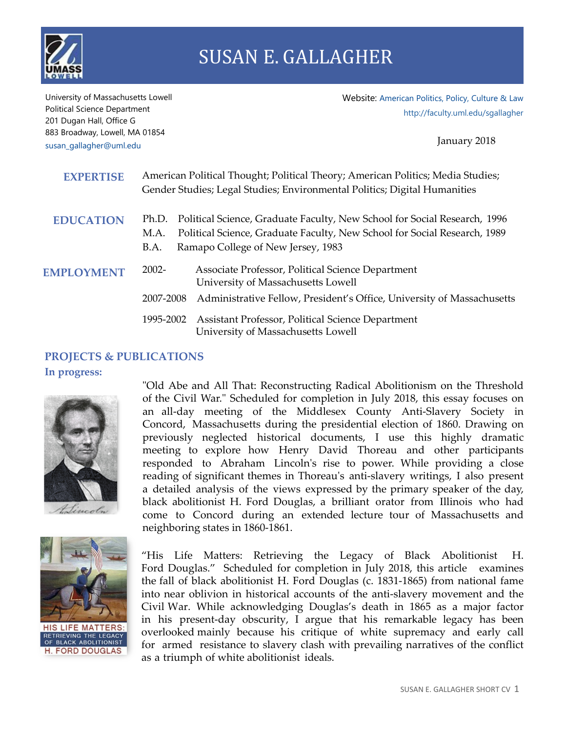

University of Massachusetts Lowell Political Science Department 201 Dugan Hall, Office G 883 Broadway, Lowell, MA 01854 [susan\\_gallagher@uml.edu](mailto:susan_gallagher@uml.edu)

Website: [American Politics, Policy, Culture & Law](http://faculty.uml.edu/sgallagher/) <http://faculty.uml.edu/sgallagher>

January 2018

| <b>EXPERTISE</b>  | American Political Thought; Political Theory; American Politics; Media Studies;<br>Gender Studies; Legal Studies; Environmental Politics; Digital Humanities                                                          |
|-------------------|-----------------------------------------------------------------------------------------------------------------------------------------------------------------------------------------------------------------------|
| <b>EDUCATION</b>  | Political Science, Graduate Faculty, New School for Social Research, 1996<br>Ph.D.<br>Political Science, Graduate Faculty, New School for Social Research, 1989<br>M.A.<br>Ramapo College of New Jersey, 1983<br>B.A. |
| <b>EMPLOYMENT</b> | $2002 -$<br>Associate Professor, Political Science Department<br>University of Massachusetts Lowell<br>2007-2008<br>Administrative Fellow, President's Office, University of Massachusetts                            |
|                   | Assistant Professor, Political Science Department<br>1995-2002<br>University of Massachusetts Lowell                                                                                                                  |

## **PROJECTS & PUBLICATIONS**

## **In progress:**



"Old Abe and All That: Reconstructing Radical Abolitionism on the Threshold of the Civil War." Scheduled for completion in July 2018, this essay focuses on an all-day meeting of the Middlesex County Anti-Slavery Society in Concord, Massachusetts during the presidential election of 1860. Drawing on previously neglected historical documents, I use this highly dramatic meeting to explore how Henry David Thoreau and other participants responded to Abraham Lincoln's rise to power. While providing a close reading of significant themes in Thoreau's anti-slavery writings, I also present a detailed analysis of the views expressed by the primary speaker of the day, black abolitionist H. Ford Douglas, a brilliant orator from Illinois who had come to Concord during an extended lecture tour of Massachusetts and neighboring states in 1860-1861.



**HIS LIFE MATTERS:** RETRIEVING THE LEGACY<br>OF BLACK ABOLITIONIST **H. FORD DOUGLAS** 

"His Life Matters: Retrieving the Legacy of Black Abolitionist H. Ford Douglas." Scheduled for completion in July 2018, this article examines the fall of black abolitionist H. Ford Douglas (c. 1831-1865) from national fame into near oblivion in historical accounts of the anti-slavery movement and the Civil War. While acknowledging Douglas's death in 1865 as a major factor in his present-day obscurity, I argue that his remarkable legacy has been overlooked mainly because his critique of white supremacy and early call for armed resistance to slavery clash with prevailing narratives of the conflict as a triumph of white abolitionist ideals.